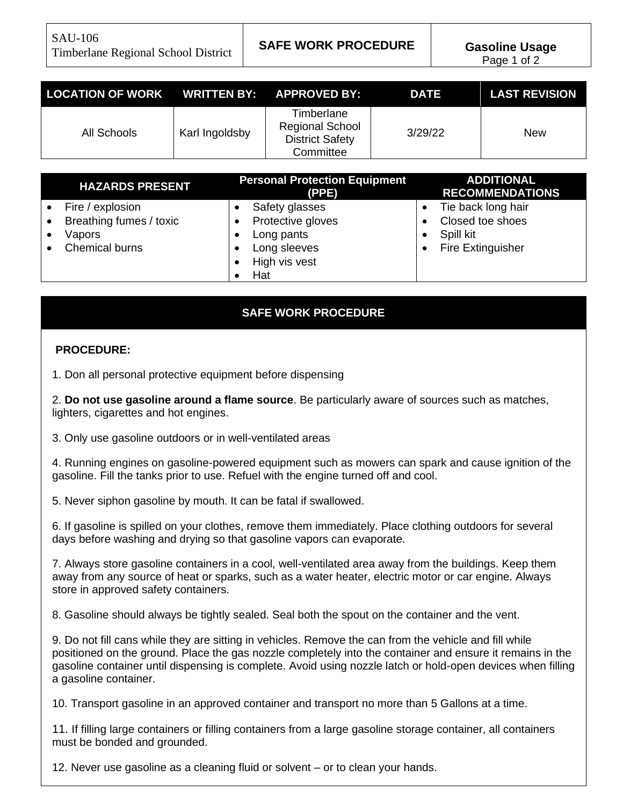SAU-106 Timberlane Regional School District **SAFE WORK PROCEDURE Gasoline Usage**

| LOCATION OF WORK WRITTEN BY: APPROVED BY: |                |                                                                             | <b>DATE</b> | <b>LAST REVISION</b> |
|-------------------------------------------|----------------|-----------------------------------------------------------------------------|-------------|----------------------|
| All Schools                               | Karl Ingoldsby | Timberlane<br><b>Regional School</b><br><b>District Safety</b><br>Committee | 3/29/22     | New                  |

| <b>HAZARDS PRESENT</b>                                                  | <b>Personal Protection Equipment</b><br>(PPE)                                             | <b>ADDITIONAL</b><br><b>RECOMMENDATIONS</b>                              |
|-------------------------------------------------------------------------|-------------------------------------------------------------------------------------------|--------------------------------------------------------------------------|
| Fire / explosion<br>Breathing fumes / toxic<br>Vapors<br>Chemical burns | Safety glasses<br>Protective gloves<br>Long pants<br>Long sleeves<br>High vis vest<br>Hat | Tie back long hair<br>Closed toe shoes<br>Spill kit<br>Fire Extinguisher |

## **SAFE WORK PROCEDURE**

## **PROCEDURE:**

1. Don all personal protective equipment before dispensing

2. **Do not use gasoline around a flame source**. Be particularly aware of sources such as matches, lighters, cigarettes and hot engines.

3. Only use gasoline outdoors or in well-ventilated areas

4. Running engines on gasoline-powered equipment such as mowers can spark and cause ignition of the gasoline. Fill the tanks prior to use. Refuel with the engine turned off and cool.

5. Never siphon gasoline by mouth. It can be fatal if swallowed.

6. If gasoline is spilled on your clothes, remove them immediately. Place clothing outdoors for several days before washing and drying so that gasoline vapors can evaporate.

7. Always store gasoline containers in a cool, well-ventilated area away from the buildings. Keep them away from any source of heat or sparks, such as a water heater, electric motor or car engine. Always store in approved safety containers.

8. Gasoline should always be tightly sealed. Seal both the spout on the container and the vent.

9. Do not fill cans while they are sitting in vehicles. Remove the can from the vehicle and fill while positioned on the ground. Place the gas nozzle completely into the container and ensure it remains in the gasoline container until dispensing is complete. Avoid using nozzle latch or hold-open devices when filling a gasoline container.

10. Transport gasoline in an approved container and transport no more than 5 Gallons at a time.

11. If filling large containers or filling containers from a large gasoline storage container, all containers must be bonded and grounded.

12. Never use gasoline as a cleaning fluid or solvent – or to clean your hands.